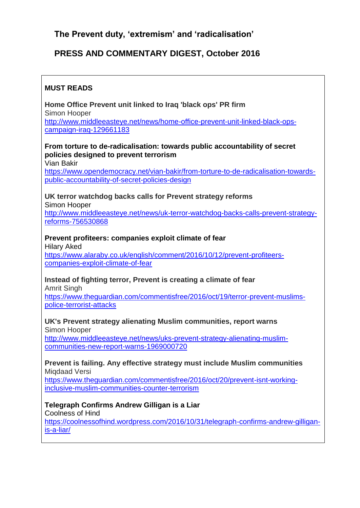# **The Prevent duty, 'extremism' and 'radicalisation'**

# **PRESS AND COMMENTARY DIGEST, October 2016**

# **MUST READS**

**Home Office Prevent unit linked to Iraq 'black ops' PR firm** Simon Hooper [http://www.middleeasteye.net/news/home-office-prevent-unit-linked-black-ops](http://www.middleeasteye.net/news/home-office-prevent-unit-linked-black-ops-campaign-iraq-129661183)[campaign-iraq-129661183](http://www.middleeasteye.net/news/home-office-prevent-unit-linked-black-ops-campaign-iraq-129661183)

**From torture to de-radicalisation: towards public accountability of secret policies designed to prevent terrorism**

Vian Bakir

[https://www.opendemocracy.net/vian-bakir/from-torture-to-de-radicalisation-towards](https://www.opendemocracy.net/vian-bakir/from-torture-to-de-radicalisation-towards-public-accountability-of-secret-policies-design)[public-accountability-of-secret-policies-design](https://www.opendemocracy.net/vian-bakir/from-torture-to-de-radicalisation-towards-public-accountability-of-secret-policies-design)

**UK terror watchdog backs calls for Prevent strategy reforms** Simon Hooper [http://www.middleeasteye.net/news/uk-terror-watchdog-backs-calls-prevent-strategy](http://www.middleeasteye.net/news/uk-terror-watchdog-backs-calls-prevent-strategy-reforms-756530868)[reforms-756530868](http://www.middleeasteye.net/news/uk-terror-watchdog-backs-calls-prevent-strategy-reforms-756530868)

**Prevent profiteers: companies exploit climate of fear** Hilary Aked

[https://www.alaraby.co.uk/english/comment/2016/10/12/prevent-profiteers](https://www.alaraby.co.uk/english/comment/2016/10/12/prevent-profiteers-companies-exploit-climate-of-fear)[companies-exploit-climate-of-fear](https://www.alaraby.co.uk/english/comment/2016/10/12/prevent-profiteers-companies-exploit-climate-of-fear)

# **Instead of fighting terror, Prevent is creating a climate of fear**

Amrit Singh

[https://www.theguardian.com/commentisfree/2016/oct/19/terror-prevent-muslims](https://www.theguardian.com/commentisfree/2016/oct/19/terror-prevent-muslims-police-terrorist-attacks)[police-terrorist-attacks](https://www.theguardian.com/commentisfree/2016/oct/19/terror-prevent-muslims-police-terrorist-attacks)

# **UK's Prevent strategy alienating Muslim communities, report warns**

Simon Hooper

[http://www.middleeasteye.net/news/uks-prevent-strategy-alienating-muslim](http://www.middleeasteye.net/news/uks-prevent-strategy-alienating-muslim-communities-new-report-warns-1969000720)[communities-new-report-warns-1969000720](http://www.middleeasteye.net/news/uks-prevent-strategy-alienating-muslim-communities-new-report-warns-1969000720)

#### **Prevent is failing. Any effective strategy must include Muslim communities** Miqdaad Versi

[https://www.theguardian.com/commentisfree/2016/oct/20/prevent-isnt-working](https://www.theguardian.com/commentisfree/2016/oct/20/prevent-isnt-working-inclusive-muslim-communities-counter-terrorism)[inclusive-muslim-communities-counter-terrorism](https://www.theguardian.com/commentisfree/2016/oct/20/prevent-isnt-working-inclusive-muslim-communities-counter-terrorism)

## **Telegraph Confirms Andrew Gilligan is a Liar**

Coolness of Hind

[https://coolnessofhind.wordpress.com/2016/10/31/telegraph-confirms-andrew-gilligan](https://coolnessofhind.wordpress.com/2016/10/31/telegraph-confirms-andrew-gilligan-is-a-liar/)[is-a-liar/](https://coolnessofhind.wordpress.com/2016/10/31/telegraph-confirms-andrew-gilligan-is-a-liar/)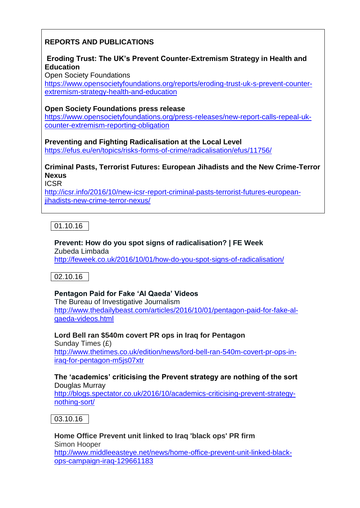# **REPORTS AND PUBLICATIONS**

# **Eroding Trust: The UK's Prevent Counter-Extremism Strategy in Health and Education**

Open Society Foundations

[https://www.opensocietyfoundations.org/reports/eroding-trust-uk-s-prevent-counter](https://www.opensocietyfoundations.org/reports/eroding-trust-uk-s-prevent-counter-extremism-strategy-health-and-education)[extremism-strategy-health-and-education](https://www.opensocietyfoundations.org/reports/eroding-trust-uk-s-prevent-counter-extremism-strategy-health-and-education)

### **Open Society Foundations press release**

[https://www.opensocietyfoundations.org/press-releases/new-report-calls-repeal-uk](https://www.opensocietyfoundations.org/press-releases/new-report-calls-repeal-uk-counter-extremism-reporting-obligation)[counter-extremism-reporting-obligation](https://www.opensocietyfoundations.org/press-releases/new-report-calls-repeal-uk-counter-extremism-reporting-obligation)

**Preventing and Fighting Radicalisation at the Local Level**

<https://efus.eu/en/topics/risks-forms-of-crime/radicalisation/efus/11756/>

# **Criminal Pasts, Terrorist Futures: European Jihadists and the New Crime-Terror Nexus**

ICSR

[http://icsr.info/2016/10/new-icsr-report-criminal-pasts-terrorist-futures-european](http://icsr.info/2016/10/new-icsr-report-criminal-pasts-terrorist-futures-european-jihadists-new-crime-terror-nexus/)[jihadists-new-crime-terror-nexus/](http://icsr.info/2016/10/new-icsr-report-criminal-pasts-terrorist-futures-european-jihadists-new-crime-terror-nexus/)

 $|01.10.16|$ 

# **Prevent: How do you spot signs of radicalisation? | FE Week**

Zubeda Limbada <http://feweek.co.uk/2016/10/01/how-do-you-spot-signs-of-radicalisation/>

02.10.16

## **Pentagon Paid for Fake 'Al Qaeda' Videos**

The Bureau of Investigative Journalism [http://www.thedailybeast.com/articles/2016/10/01/pentagon-paid-for-fake-al](http://www.thedailybeast.com/articles/2016/10/01/pentagon-paid-for-fake-al-qaeda-videos.html)[qaeda-videos.html](http://www.thedailybeast.com/articles/2016/10/01/pentagon-paid-for-fake-al-qaeda-videos.html)

**Lord Bell ran \$540m covert PR ops in Iraq for Pentagon** Sunday Times (£) [http://www.thetimes.co.uk/edition/news/lord-bell-ran-540m-covert-pr-ops-in](http://www.thetimes.co.uk/edition/news/lord-bell-ran-540m-covert-pr-ops-in-iraq-for-pentagon-m5js07xtr)[iraq-for-pentagon-m5js07xtr](http://www.thetimes.co.uk/edition/news/lord-bell-ran-540m-covert-pr-ops-in-iraq-for-pentagon-m5js07xtr)

### **The 'academics' criticising the Prevent strategy are nothing of the sort** Douglas Murray

[http://blogs.spectator.co.uk/2016/10/academics-criticising-prevent-strategy](http://blogs.spectator.co.uk/2016/10/academics-criticising-prevent-strategy-nothing-sort/)[nothing-sort/](http://blogs.spectator.co.uk/2016/10/academics-criticising-prevent-strategy-nothing-sort/)



**Home Office Prevent unit linked to Iraq 'black ops' PR firm** Simon Hooper [http://www.middleeasteye.net/news/home-office-prevent-unit-linked-black](http://www.middleeasteye.net/news/home-office-prevent-unit-linked-black-ops-campaign-iraq-129661183)[ops-campaign-iraq-129661183](http://www.middleeasteye.net/news/home-office-prevent-unit-linked-black-ops-campaign-iraq-129661183)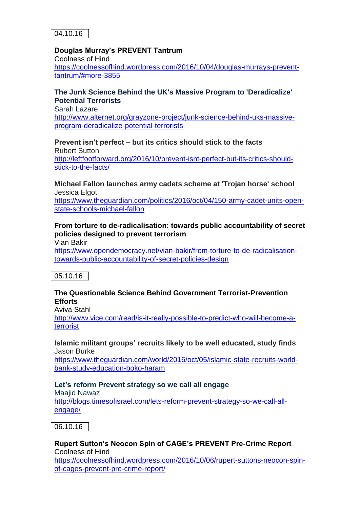

#### **Douglas Murray's PREVENT Tantrum**

Coolness of Hind [https://coolnessofhind.wordpress.com/2016/10/04/douglas-murrays-prevent](https://coolnessofhind.wordpress.com/2016/10/04/douglas-murrays-prevent-tantrum/#more-3855)[tantrum/#more-3855](https://coolnessofhind.wordpress.com/2016/10/04/douglas-murrays-prevent-tantrum/#more-3855)

#### **The Junk Science Behind the UK's Massive Program to 'Deradicalize' Potential Terrorists**

Sarah Lazare [http://www.alternet.org/grayzone-project/junk-science-behind-uks-massive](http://www.alternet.org/grayzone-project/junk-science-behind-uks-massive-program-deradicalize-potential-terrorists)[program-deradicalize-potential-terrorists](http://www.alternet.org/grayzone-project/junk-science-behind-uks-massive-program-deradicalize-potential-terrorists)

# **Prevent isn't perfect – but its critics should stick to the facts**

Rubert Sutton [http://leftfootforward.org/2016/10/prevent-isnt-perfect-but-its-critics-should](http://leftfootforward.org/2016/10/prevent-isnt-perfect-but-its-critics-should-stick-to-the-facts/)[stick-to-the-facts/](http://leftfootforward.org/2016/10/prevent-isnt-perfect-but-its-critics-should-stick-to-the-facts/)

**Michael Fallon launches army cadets scheme at 'Trojan horse' school** Jessica Elgot

[https://www.theguardian.com/politics/2016/oct/04/150-army-cadet-units-open](https://www.theguardian.com/politics/2016/oct/04/150-army-cadet-units-open-state-schools-michael-fallon)[state-schools-michael-fallon](https://www.theguardian.com/politics/2016/oct/04/150-army-cadet-units-open-state-schools-michael-fallon)

### **From torture to de-radicalisation: towards public accountability of secret policies designed to prevent terrorism**

Vian Bakir

[https://www.opendemocracy.net/vian-bakir/from-torture-to-de-radicalisation](https://www.opendemocracy.net/vian-bakir/from-torture-to-de-radicalisation-towards-public-accountability-of-secret-policies-design)[towards-public-accountability-of-secret-policies-design](https://www.opendemocracy.net/vian-bakir/from-torture-to-de-radicalisation-towards-public-accountability-of-secret-policies-design)

## 05.10.16

#### **The Questionable Science Behind Government Terrorist-Prevention Efforts**

Aviva Stahl

[http://www.vice.com/read/is-it-really-possible-to-predict-who-will-become-a](http://www.vice.com/read/is-it-really-possible-to-predict-who-will-become-a-terrorist)[terrorist](http://www.vice.com/read/is-it-really-possible-to-predict-who-will-become-a-terrorist)

#### **Islamic militant groups' recruits likely to be well educated, study finds** Jason Burke

[https://www.theguardian.com/world/2016/oct/05/islamic-state-recruits-world](https://www.theguardian.com/world/2016/oct/05/islamic-state-recruits-world-bank-study-education-boko-haram)[bank-study-education-boko-haram](https://www.theguardian.com/world/2016/oct/05/islamic-state-recruits-world-bank-study-education-boko-haram)

#### **Let's reform Prevent strategy so we call all engage**

Maajid Nawaz [http://blogs.timesofisrael.com/lets-reform-prevent-strategy-so-we-call-all](http://blogs.timesofisrael.com/lets-reform-prevent-strategy-so-we-call-all-engage/)[engage/](http://blogs.timesofisrael.com/lets-reform-prevent-strategy-so-we-call-all-engage/)



# **Rupert Sutton's Neocon Spin of CAGE's PREVENT Pre-Crime Report** Coolness of Hind

[https://coolnessofhind.wordpress.com/2016/10/06/rupert-suttons-neocon-spin](https://coolnessofhind.wordpress.com/2016/10/06/rupert-suttons-neocon-spin-of-cages-prevent-pre-crime-report/)[of-cages-prevent-pre-crime-report/](https://coolnessofhind.wordpress.com/2016/10/06/rupert-suttons-neocon-spin-of-cages-prevent-pre-crime-report/)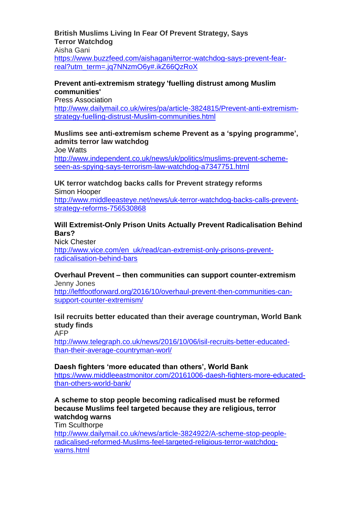#### **British Muslims Living In Fear Of Prevent Strategy, Says Terror Watchdog**

Aisha Gani

[https://www.buzzfeed.com/aishagani/terror-watchdog-says-prevent-fear](https://www.buzzfeed.com/aishagani/terror-watchdog-says-prevent-fear-real?utm_term=.jq7NNzmO6y#.ikZ66QzRoX)[real?utm\\_term=.jq7NNzmO6y#.ikZ66QzRoX](https://www.buzzfeed.com/aishagani/terror-watchdog-says-prevent-fear-real?utm_term=.jq7NNzmO6y#.ikZ66QzRoX)

### **Prevent anti-extremism strategy 'fuelling distrust among Muslim communities'**

Press Association [http://www.dailymail.co.uk/wires/pa/article-3824815/Prevent-anti-extremism](http://www.dailymail.co.uk/wires/pa/article-3824815/Prevent-anti-extremism-strategy-fuelling-distrust-Muslim-communities.html)[strategy-fuelling-distrust-Muslim-communities.html](http://www.dailymail.co.uk/wires/pa/article-3824815/Prevent-anti-extremism-strategy-fuelling-distrust-Muslim-communities.html)

### **Muslims see anti-extremism scheme Prevent as a 'spying programme', admits terror law watchdog**

Joe Watts [http://www.independent.co.uk/news/uk/politics/muslims-prevent-scheme](http://www.independent.co.uk/news/uk/politics/muslims-prevent-scheme-seen-as-spying-says-terrorism-law-watchdog-a7347751.html)[seen-as-spying-says-terrorism-law-watchdog-a7347751.html](http://www.independent.co.uk/news/uk/politics/muslims-prevent-scheme-seen-as-spying-says-terrorism-law-watchdog-a7347751.html)

**UK terror watchdog backs calls for Prevent strategy reforms** Simon Hooper [http://www.middleeasteye.net/news/uk-terror-watchdog-backs-calls-prevent](http://www.middleeasteye.net/news/uk-terror-watchdog-backs-calls-prevent-strategy-reforms-756530868)[strategy-reforms-756530868](http://www.middleeasteye.net/news/uk-terror-watchdog-backs-calls-prevent-strategy-reforms-756530868)

### **Will Extremist-Only Prison Units Actually Prevent Radicalisation Behind Bars?**

Nick Chester [http://www.vice.com/en\\_uk/read/can-extremist-only-prisons-prevent](http://www.vice.com/en_uk/read/can-extremist-only-prisons-prevent-radicalisation-behind-bars)[radicalisation-behind-bars](http://www.vice.com/en_uk/read/can-extremist-only-prisons-prevent-radicalisation-behind-bars)

# **Overhaul Prevent – then communities can support counter-extremism** Jenny Jones

[http://leftfootforward.org/2016/10/overhaul-prevent-then-communities-can](http://leftfootforward.org/2016/10/overhaul-prevent-then-communities-can-support-counter-extremism/)[support-counter-extremism/](http://leftfootforward.org/2016/10/overhaul-prevent-then-communities-can-support-counter-extremism/)

# **Isil recruits better educated than their average countryman, World Bank study finds**

AFP

[http://www.telegraph.co.uk/news/2016/10/06/isil-recruits-better-educated](http://www.telegraph.co.uk/news/2016/10/06/isil-recruits-better-educated-than-their-average-countryman-worl/)[than-their-average-countryman-worl/](http://www.telegraph.co.uk/news/2016/10/06/isil-recruits-better-educated-than-their-average-countryman-worl/)

#### **Daesh fighters 'more educated than others', World Bank**

[https://www.middleeastmonitor.com/20161006-daesh-fighters-more-educated](https://www.middleeastmonitor.com/20161006-daesh-fighters-more-educated-than-others-world-bank/)[than-others-world-bank/](https://www.middleeastmonitor.com/20161006-daesh-fighters-more-educated-than-others-world-bank/)

#### **A scheme to stop people becoming radicalised must be reformed because Muslims feel targeted because they are religious, terror watchdog warns**

Tim Sculthorpe [http://www.dailymail.co.uk/news/article-3824922/A-scheme-stop-people](http://www.dailymail.co.uk/news/article-3824922/A-scheme-stop-people-radicalised-reformed-Muslims-feel-targeted-religious-terror-watchdog-warns.html)[radicalised-reformed-Muslims-feel-targeted-religious-terror-watchdog](http://www.dailymail.co.uk/news/article-3824922/A-scheme-stop-people-radicalised-reformed-Muslims-feel-targeted-religious-terror-watchdog-warns.html)[warns.html](http://www.dailymail.co.uk/news/article-3824922/A-scheme-stop-people-radicalised-reformed-Muslims-feel-targeted-religious-terror-watchdog-warns.html)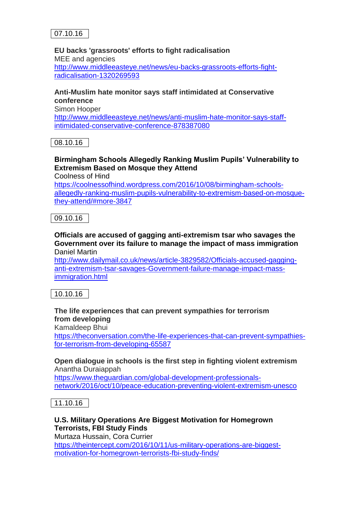

### **EU backs 'grassroots' efforts to fight radicalisation**

MEE and agencies [http://www.middleeasteye.net/news/eu-backs-grassroots-efforts-fight](http://www.middleeasteye.net/news/eu-backs-grassroots-efforts-fight-radicalisation-1320269593)[radicalisation-1320269593](http://www.middleeasteye.net/news/eu-backs-grassroots-efforts-fight-radicalisation-1320269593)

### **Anti-Muslim hate monitor says staff intimidated at Conservative conference**

Simon Hooper

[http://www.middleeasteye.net/news/anti-muslim-hate-monitor-says-staff](http://www.middleeasteye.net/news/anti-muslim-hate-monitor-says-staff-intimidated-conservative-conference-878387080)[intimidated-conservative-conference-878387080](http://www.middleeasteye.net/news/anti-muslim-hate-monitor-says-staff-intimidated-conservative-conference-878387080)

08.10.16

# **Birmingham Schools Allegedly Ranking Muslim Pupils' Vulnerability to Extremism Based on Mosque they Attend**

Coolness of Hind

[https://coolnessofhind.wordpress.com/2016/10/08/birmingham-schools](https://coolnessofhind.wordpress.com/2016/10/08/birmingham-schools-allegedly-ranking-muslim-pupils-vulnerability-to-extremism-based-on-mosque-they-attend/#more-3847)[allegedly-ranking-muslim-pupils-vulnerability-to-extremism-based-on-mosque](https://coolnessofhind.wordpress.com/2016/10/08/birmingham-schools-allegedly-ranking-muslim-pupils-vulnerability-to-extremism-based-on-mosque-they-attend/#more-3847)[they-attend/#more-3847](https://coolnessofhind.wordpress.com/2016/10/08/birmingham-schools-allegedly-ranking-muslim-pupils-vulnerability-to-extremism-based-on-mosque-they-attend/#more-3847)

09.10.16

#### **Officials are accused of gagging anti-extremism tsar who savages the Government over its failure to manage the impact of mass immigration** Daniel Martin

[http://www.dailymail.co.uk/news/article-3829582/Officials-accused-gagging](http://www.dailymail.co.uk/news/article-3829582/Officials-accused-gagging-anti-extremism-tsar-savages-Government-failure-manage-impact-mass-immigration.html)[anti-extremism-tsar-savages-Government-failure-manage-impact-mass](http://www.dailymail.co.uk/news/article-3829582/Officials-accused-gagging-anti-extremism-tsar-savages-Government-failure-manage-impact-mass-immigration.html)[immigration.html](http://www.dailymail.co.uk/news/article-3829582/Officials-accused-gagging-anti-extremism-tsar-savages-Government-failure-manage-impact-mass-immigration.html)

10.10.16

# **The life experiences that can prevent sympathies for terrorism from developing**

Kamaldeep Bhui

[https://theconversation.com/the-life-experiences-that-can-prevent-sympathies](https://theconversation.com/the-life-experiences-that-can-prevent-sympathies-for-terrorism-from-developing-65587)[for-terrorism-from-developing-65587](https://theconversation.com/the-life-experiences-that-can-prevent-sympathies-for-terrorism-from-developing-65587)

**Open dialogue in schools is the first step in fighting violent extremism** Anantha Duraiappah

[https://www.theguardian.com/global-development-professionals](https://www.theguardian.com/global-development-professionals-network/2016/oct/10/peace-education-preventing-violent-extremism-unesco)[network/2016/oct/10/peace-education-preventing-violent-extremism-unesco](https://www.theguardian.com/global-development-professionals-network/2016/oct/10/peace-education-preventing-violent-extremism-unesco)

11.10.16

### **U.S. Military Operations Are Biggest Motivation for Homegrown Terrorists, FBI Study Finds**

Murtaza Hussain, Cora Currier [https://theintercept.com/2016/10/11/us-military-operations-are-biggest-](https://theintercept.com/2016/10/11/us-military-operations-are-biggest-motivation-for-homegrown-terrorists-fbi-study-finds/)

[motivation-for-homegrown-terrorists-fbi-study-finds/](https://theintercept.com/2016/10/11/us-military-operations-are-biggest-motivation-for-homegrown-terrorists-fbi-study-finds/)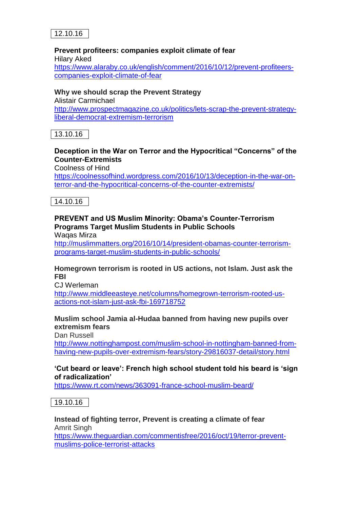

### **Prevent profiteers: companies exploit climate of fear**

Hilary Aked [https://www.alaraby.co.uk/english/comment/2016/10/12/prevent-profiteers](https://www.alaraby.co.uk/english/comment/2016/10/12/prevent-profiteers-companies-exploit-climate-of-fear)[companies-exploit-climate-of-fear](https://www.alaraby.co.uk/english/comment/2016/10/12/prevent-profiteers-companies-exploit-climate-of-fear)

#### **Why we should scrap the Prevent Strategy** Alistair Carmichael [http://www.prospectmagazine.co.uk/politics/lets-scrap-the-prevent-strategy](http://www.prospectmagazine.co.uk/politics/lets-scrap-the-prevent-strategy-liberal-democrat-extremism-terrorism)[liberal-democrat-extremism-terrorism](http://www.prospectmagazine.co.uk/politics/lets-scrap-the-prevent-strategy-liberal-democrat-extremism-terrorism)

13.10.16

# **Deception in the War on Terror and the Hypocritical "Concerns" of the Counter-Extremists**

Coolness of Hind

[https://coolnessofhind.wordpress.com/2016/10/13/deception-in-the-war-on](https://coolnessofhind.wordpress.com/2016/10/13/deception-in-the-war-on-terror-and-the-hypocritical-concerns-of-the-counter-extremists/)[terror-and-the-hypocritical-concerns-of-the-counter-extremists/](https://coolnessofhind.wordpress.com/2016/10/13/deception-in-the-war-on-terror-and-the-hypocritical-concerns-of-the-counter-extremists/)

14.10.16

# **PREVENT and US Muslim Minority: Obama's Counter-Terrorism Programs Target Muslim Students in Public Schools**

Waqas Mirza

[http://muslimmatters.org/2016/10/14/president-obamas-counter-terrorism](http://muslimmatters.org/2016/10/14/president-obamas-counter-terrorism-programs-target-muslim-students-in-public-schools/)[programs-target-muslim-students-in-public-schools/](http://muslimmatters.org/2016/10/14/president-obamas-counter-terrorism-programs-target-muslim-students-in-public-schools/)

### **Homegrown terrorism is rooted in US actions, not Islam. Just ask the FBI**

C<sub>ul</sub> Werleman

[http://www.middleeasteye.net/columns/homegrown-terrorism-rooted-us](http://www.middleeasteye.net/columns/homegrown-terrorism-rooted-us-actions-not-islam-just-ask-fbi-169718752)[actions-not-islam-just-ask-fbi-169718752](http://www.middleeasteye.net/columns/homegrown-terrorism-rooted-us-actions-not-islam-just-ask-fbi-169718752)

# **Muslim school Jamia al-Hudaa banned from having new pupils over extremism fears**

Dan Russell

[http://www.nottinghampost.com/muslim-school-in-nottingham-banned-from](http://www.nottinghampost.com/muslim-school-in-nottingham-banned-from-having-new-pupils-over-extremism-fears/story-29816037-detail/story.html)[having-new-pupils-over-extremism-fears/story-29816037-detail/story.html](http://www.nottinghampost.com/muslim-school-in-nottingham-banned-from-having-new-pupils-over-extremism-fears/story-29816037-detail/story.html)

### **'Cut beard or leave': French high school student told his beard is 'sign of radicalization'**

<https://www.rt.com/news/363091-france-school-muslim-beard/>

19.10.16

**Instead of fighting terror, Prevent is creating a climate of fear** Amrit Singh [https://www.theguardian.com/commentisfree/2016/oct/19/terror-prevent](https://www.theguardian.com/commentisfree/2016/oct/19/terror-prevent-muslims-police-terrorist-attacks)[muslims-police-terrorist-attacks](https://www.theguardian.com/commentisfree/2016/oct/19/terror-prevent-muslims-police-terrorist-attacks)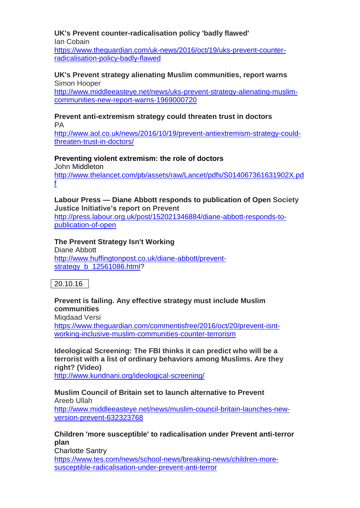# **UK's Prevent counter-radicalisation policy 'badly flawed'**

Ian Cobain [https://www.theguardian.com/uk-news/2016/oct/19/uks-prevent-counter](https://www.theguardian.com/uk-news/2016/oct/19/uks-prevent-counter-radicalisation-policy-badly-flawed)[radicalisation-policy-badly-flawed](https://www.theguardian.com/uk-news/2016/oct/19/uks-prevent-counter-radicalisation-policy-badly-flawed)

#### **UK's Prevent strategy alienating Muslim communities, report warns** Simon Hooper

[http://www.middleeasteye.net/news/uks-prevent-strategy-alienating-muslim](http://www.middleeasteye.net/news/uks-prevent-strategy-alienating-muslim-communities-new-report-warns-1969000720)[communities-new-report-warns-1969000720](http://www.middleeasteye.net/news/uks-prevent-strategy-alienating-muslim-communities-new-report-warns-1969000720)

#### **Prevent anti-extremism strategy could threaten trust in doctors** PA

[http://www.aol.co.uk/news/2016/10/19/prevent-antiextremism-strategy-could](http://www.aol.co.uk/news/2016/10/19/prevent-antiextremism-strategy-could-threaten-trust-in-doctors/)[threaten-trust-in-doctors/](http://www.aol.co.uk/news/2016/10/19/prevent-antiextremism-strategy-could-threaten-trust-in-doctors/)

# **Preventing violent extremism: the role of doctors**

John Middleton [http://www.thelancet.com/pb/assets/raw/Lancet/pdfs/S014067361631902X.pd](http://www.thelancet.com/pb/assets/raw/Lancet/pdfs/S014067361631902X.pdf) [f](http://www.thelancet.com/pb/assets/raw/Lancet/pdfs/S014067361631902X.pdf)

# **Labour Press — Diane Abbott responds to publication of Open Society Justice Initiative's report on Prevent**

[http://press.labour.org.uk/post/152021346884/diane-abbott-responds-to](http://press.labour.org.uk/post/152021346884/diane-abbott-responds-to-publication-of-open)[publication-of-open](http://press.labour.org.uk/post/152021346884/diane-abbott-responds-to-publication-of-open)

# **The Prevent Strategy Isn't Working**

Diane Abbott [http://www.huffingtonpost.co.uk/diane-abbott/prevent](http://www.huffingtonpost.co.uk/diane-abbott/prevent-strategy_b_12561086.html)strategy b 12561086.html?

# 20.10.16

## **Prevent is failing. Any effective strategy must include Muslim communities**

Migdaad Versi

[https://www.theguardian.com/commentisfree/2016/oct/20/prevent-isnt](https://www.theguardian.com/commentisfree/2016/oct/20/prevent-isnt-working-inclusive-muslim-communities-counter-terrorism)[working-inclusive-muslim-communities-counter-terrorism](https://www.theguardian.com/commentisfree/2016/oct/20/prevent-isnt-working-inclusive-muslim-communities-counter-terrorism)

**Ideological Screening: The FBI thinks it can predict who will be a terrorist with a list of ordinary behaviors among Muslims. Are they right? (Video)**

<http://www.kundnani.org/ideological-screening/>

#### **Muslim Council of Britain set to launch alternative to Prevent** Areeb Ullah

[http://www.middleeasteye.net/news/muslim-council-britain-launches-new](http://www.middleeasteye.net/news/muslim-council-britain-launches-new-version-prevent-632323768)[version-prevent-632323768](http://www.middleeasteye.net/news/muslim-council-britain-launches-new-version-prevent-632323768)

### **Children 'more susceptible' to radicalisation under Prevent anti-terror plan**

Charlotte Santry [https://www.tes.com/news/school-news/breaking-news/children-more](https://www.tes.com/news/school-news/breaking-news/children-more-susceptible-radicalisation-under-prevent-anti-terror)[susceptible-radicalisation-under-prevent-anti-terror](https://www.tes.com/news/school-news/breaking-news/children-more-susceptible-radicalisation-under-prevent-anti-terror)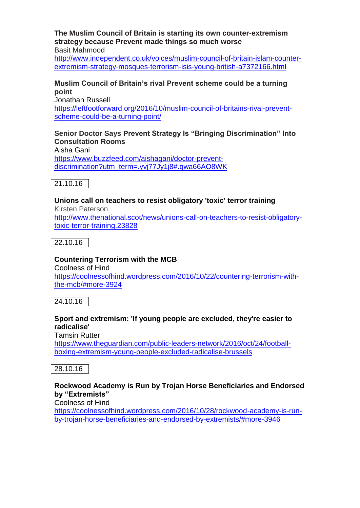**The Muslim Council of Britain is starting its own counter-extremism strategy because Prevent made things so much worse** Basit Mahmood

[http://www.independent.co.uk/voices/muslim-council-of-britain-islam-counter](http://www.independent.co.uk/voices/muslim-council-of-britain-islam-counter-extremism-strategy-mosques-terrorism-isis-young-british-a7372166.html)[extremism-strategy-mosques-terrorism-isis-young-british-a7372166.html](http://www.independent.co.uk/voices/muslim-council-of-britain-islam-counter-extremism-strategy-mosques-terrorism-isis-young-british-a7372166.html)

#### **Muslim Council of Britain's rival Prevent scheme could be a turning point** Jonathan Russell

[https://leftfootforward.org/2016/10/muslim-council-of-britains-rival-prevent](https://leftfootforward.org/2016/10/muslim-council-of-britains-rival-prevent-scheme-could-be-a-turning-point/)[scheme-could-be-a-turning-point/](https://leftfootforward.org/2016/10/muslim-council-of-britains-rival-prevent-scheme-could-be-a-turning-point/)

### **Senior Doctor Says Prevent Strategy Is "Bringing Discrimination" Into Consultation Rooms**

Aisha Gani [https://www.buzzfeed.com/aishagani/doctor-prevent](https://www.buzzfeed.com/aishagani/doctor-prevent-discrimination?utm_term=.yvj77Jy1j8#.qwa66AO8WK)[discrimination?utm\\_term=.yvj77Jy1j8#.qwa66AO8WK](https://www.buzzfeed.com/aishagani/doctor-prevent-discrimination?utm_term=.yvj77Jy1j8#.qwa66AO8WK)

21.10.16

#### **Unions call on teachers to resist obligatory 'toxic' terror training** Kirsten Paterson

[http://www.thenational.scot/news/unions-call-on-teachers-to-resist-obligatory](http://www.thenational.scot/news/unions-call-on-teachers-to-resist-obligatory-toxic-terror-training.23828)[toxic-terror-training.23828](http://www.thenational.scot/news/unions-call-on-teachers-to-resist-obligatory-toxic-terror-training.23828)

22.10.16

## **Countering Terrorism with the MCB**

Coolness of Hind [https://coolnessofhind.wordpress.com/2016/10/22/countering-terrorism-with](https://coolnessofhind.wordpress.com/2016/10/22/countering-terrorism-with-the-mcb/#more-3924)[the-mcb/#more-3924](https://coolnessofhind.wordpress.com/2016/10/22/countering-terrorism-with-the-mcb/#more-3924)

24.10.16

## **Sport and extremism: 'If young people are excluded, they're easier to radicalise'**

Tamsin Rutter

[https://www.theguardian.com/public-leaders-network/2016/oct/24/football](https://www.theguardian.com/public-leaders-network/2016/oct/24/football-boxing-extremism-young-people-excluded-radicalise-brussels)[boxing-extremism-young-people-excluded-radicalise-brussels](https://www.theguardian.com/public-leaders-network/2016/oct/24/football-boxing-extremism-young-people-excluded-radicalise-brussels)

## 28.10.16

### **Rockwood Academy is Run by Trojan Horse Beneficiaries and Endorsed by "Extremists"**

Coolness of Hind

[https://coolnessofhind.wordpress.com/2016/10/28/rockwood-academy-is-run](https://coolnessofhind.wordpress.com/2016/10/28/rockwood-academy-is-run-by-trojan-horse-beneficiaries-and-endorsed-by-extremists/#more-3946)[by-trojan-horse-beneficiaries-and-endorsed-by-extremists/#more-3946](https://coolnessofhind.wordpress.com/2016/10/28/rockwood-academy-is-run-by-trojan-horse-beneficiaries-and-endorsed-by-extremists/#more-3946)